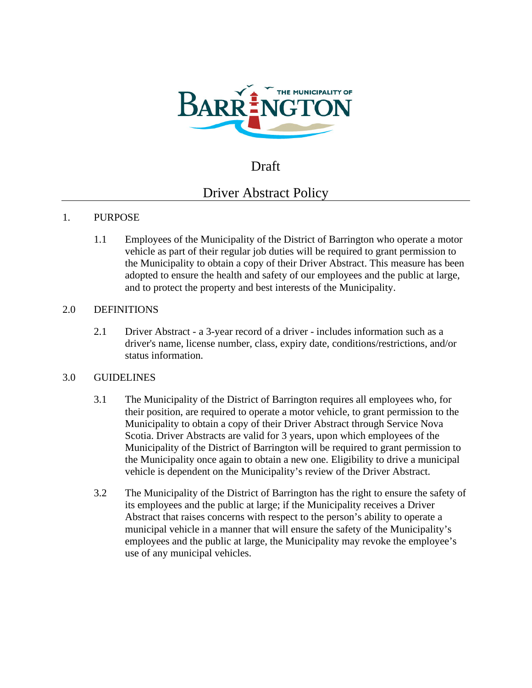

# Draft

# Driver Abstract Policy

## 1. PURPOSE

1.1 Employees of the Municipality of the District of Barrington who operate a motor vehicle as part of their regular job duties will be required to grant permission to the Municipality to obtain a copy of their Driver Abstract. This measure has been adopted to ensure the health and safety of our employees and the public at large, and to protect the property and best interests of the Municipality.

#### 2.0 DEFINITIONS

2.1 Driver Abstract - a 3-year record of a driver - includes information such as a driver's name, license number, class, expiry date, conditions/restrictions, and/or status information.

#### 3.0 GUIDELINES

- 3.1 The Municipality of the District of Barrington requires all employees who, for their position, are required to operate a motor vehicle, to grant permission to the Municipality to obtain a copy of their Driver Abstract through Service Nova Scotia. Driver Abstracts are valid for 3 years, upon which employees of the Municipality of the District of Barrington will be required to grant permission to the Municipality once again to obtain a new one. Eligibility to drive a municipal vehicle is dependent on the Municipality's review of the Driver Abstract.
- 3.2 The Municipality of the District of Barrington has the right to ensure the safety of its employees and the public at large; if the Municipality receives a Driver Abstract that raises concerns with respect to the person's ability to operate a municipal vehicle in a manner that will ensure the safety of the Municipality's employees and the public at large, the Municipality may revoke the employee's use of any municipal vehicles.